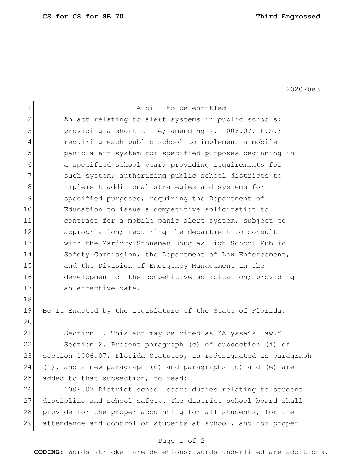202070e3

| $\mathbf 1$    | A bill to be entitled                                           |
|----------------|-----------------------------------------------------------------|
| $\overline{2}$ | An act relating to alert systems in public schools;             |
| 3              | providing a short title; amending s. 1006.07, F.S.;             |
| 4              | requiring each public school to implement a mobile              |
| 5              | panic alert system for specified purposes beginning in          |
| 6              | a specified school year; providing requirements for             |
| 7              | such system; authorizing public school districts to             |
| 8              | implement additional strategies and systems for                 |
| $\mathsf{S}$   | specified purposes; requiring the Department of                 |
| 10             | Education to issue a competitive solicitation to                |
| 11             | contract for a mobile panic alert system, subject to            |
| 12             | appropriation; requiring the department to consult              |
| 13             | with the Marjory Stoneman Douglas High School Public            |
| 14             | Safety Commission, the Department of Law Enforcement,           |
| 15             | and the Division of Emergency Management in the                 |
| 16             | development of the competitive solicitation; providing          |
| 17             | an effective date.                                              |
| 18             |                                                                 |
| 19             | Be It Enacted by the Legislature of the State of Florida:       |
| 20             |                                                                 |
| 21             | Section 1. This act may be cited as "Alyssa's Law."             |
| 22             | Section 2. Present paragraph (c) of subsection (4) of           |
| 23             | section 1006.07, Florida Statutes, is redesignated as paragraph |
| 24             | $(f)$ , and a new paragraph (c) and paragraphs (d) and (e) are  |
| 25             | added to that subsection, to read:                              |
| 26             | 1006.07 District school board duties relating to student        |
| 27             | discipline and school safety. The district school board shall   |
| 28             | provide for the proper accounting for all students, for the     |
| 29             | attendance and control of students at school, and for proper    |

## Page 1 of 2

**CODING**: Words stricken are deletions; words underlined are additions.